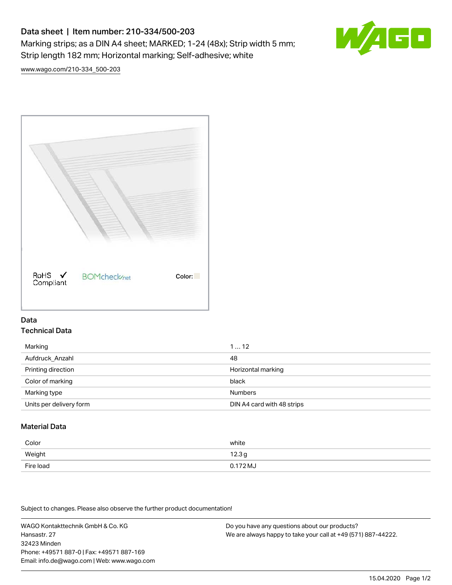# Data sheet | Item number: 210-334/500-203

Marking strips; as a DIN A4 sheet; MARKED; 1-24 (48x); Strip width 5 mm; Strip length 182 mm; Horizontal marking; Self-adhesive; white



[www.wago.com/210-334\\_500-203](http://www.wago.com/210-334_500-203)



## Data Technical Data

| Marking                 | 112                        |
|-------------------------|----------------------------|
| Aufdruck_Anzahl         | 48                         |
| Printing direction      | Horizontal marking         |
| Color of marking        | black                      |
| Marking type            | <b>Numbers</b>             |
| Units per delivery form | DIN A4 card with 48 strips |

# Material Data

| Color     | white             |
|-----------|-------------------|
| Weight    | 12.3 <sub>g</sub> |
| Fire load | $0.172 M_J$       |

Subject to changes. Please also observe the further product documentation!

WAGO Kontakttechnik GmbH & Co. KG Hansastr. 27 32423 Minden Phone: +49571 887-0 | Fax: +49571 887-169 Email: info.de@wago.com | Web: www.wago.com Do you have any questions about our products? We are always happy to take your call at +49 (571) 887-44222.